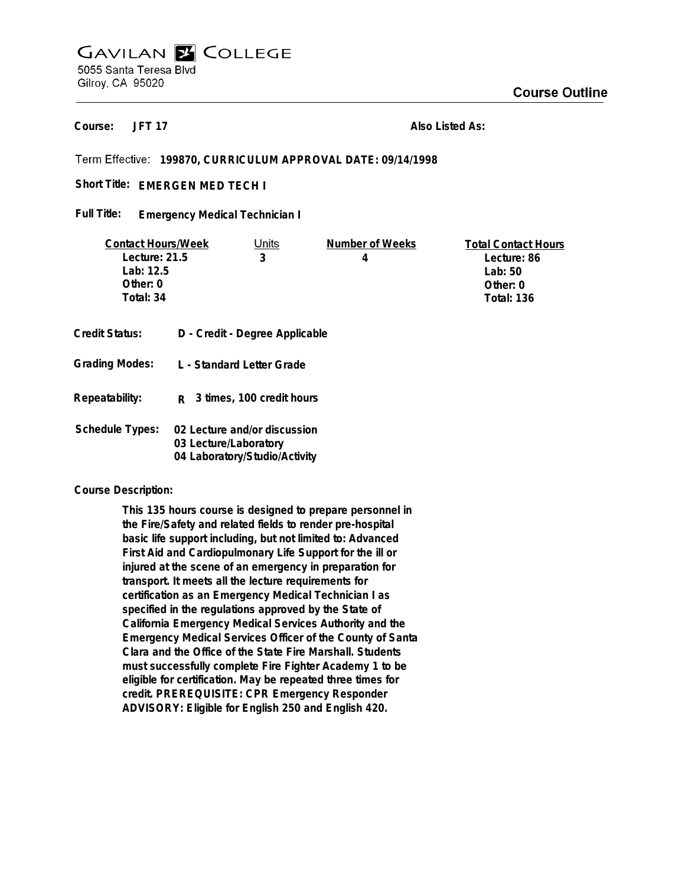# **GAVILAN E COLLEGE** 5055 Santa Teresa Blvd Gilroy, CA 95020

**JFT 17 Course:**

**Also Listed As:**

# **199870, CURRICULUM APPROVAL DATE: 09/14/1998**

Short Title: EMERGEN MED TECH I

**Emergency Medical Technician I Full Title:**

| <b>Contact Hours/Week</b> |  | Units                          | Number of Weeks | <b>Total Contact Hours</b> |
|---------------------------|--|--------------------------------|-----------------|----------------------------|
| Lecture: 21.5             |  | 3                              | 4               | Lecture: 86                |
| Lab: 12.5                 |  |                                |                 | Lab: $50$                  |
| Other: 0                  |  |                                |                 | Other: 0                   |
| Total: 34                 |  |                                |                 | <b>Total: 136</b>          |
|                           |  |                                |                 |                            |
| Credit Status:            |  | D - Credit - Degree Applicable |                 |                            |

| Repeatability: | R 3 times, 100 credit hours |
|----------------|-----------------------------|

**L - Standard Letter Grade**

| Schedule Types: | 02 Lecture and/or discussion  |
|-----------------|-------------------------------|
|                 | 03 Lecture/Laboratory         |
|                 | 04 Laboratory/Studio/Activity |

#### **Course Description:**

**Grading Modes:**

**This 135 hours course is designed to prepare personnel in the Fire/Safety and related fields to render pre-hospital basic life support including, but not limited to: Advanced First Aid and Cardiopulmonary Life Support for the ill or injured at the scene of an emergency in preparation for transport. It meets all the lecture requirements for certification as an Emergency Medical Technician I as specified in the regulations approved by the State of California Emergency Medical Services Authority and the Emergency Medical Services Officer of the County of Santa Clara and the Office of the State Fire Marshall. Students must successfully complete Fire Fighter Academy 1 to be eligible for certification. May be repeated three times for credit. PREREQUISITE: CPR Emergency Responder ADVISORY: Eligible for English 250 and English 420.**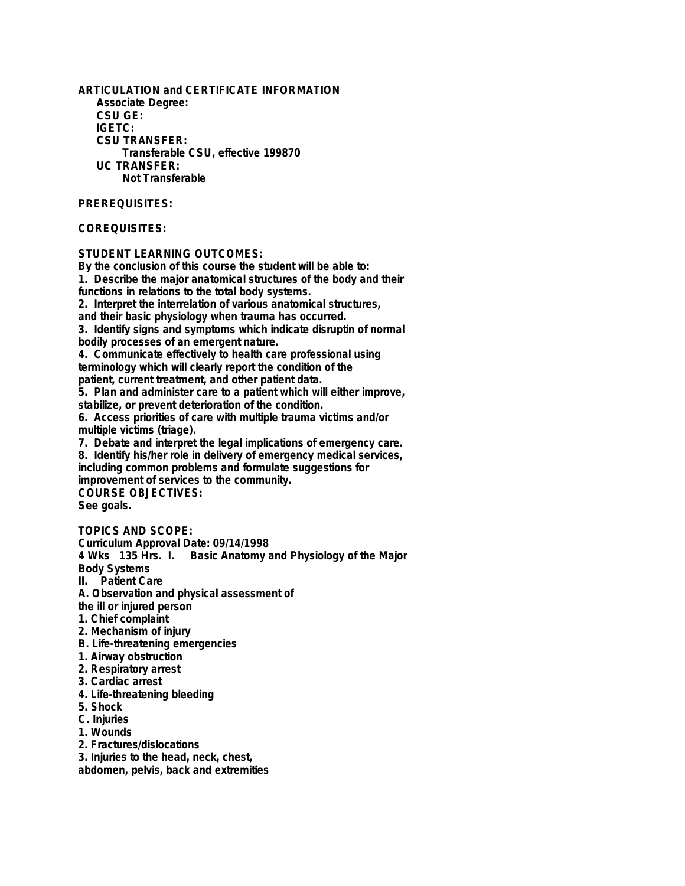**ARTICULATION and CERTIFICATE INFORMATION Associate Degree: CSU GE: IGETC: CSU TRANSFER: Transferable CSU, effective 199870 UC TRANSFER: Not Transferable**

## **PREREQUISITES:**

## **COREQUISITES:**

#### **STUDENT LEARNING OUTCOMES:**

**By the conclusion of this course the student will be able to: 1. Describe the major anatomical structures of the body and their functions in relations to the total body systems. 2. Interpret the interrelation of various anatomical structures, and their basic physiology when trauma has occurred. 3. Identify signs and symptoms which indicate disruptin of normal bodily processes of an emergent nature. 4. Communicate effectively to health care professional using terminology which will clearly report the condition of the patient, current treatment, and other patient data. 5. Plan and administer care to a patient which will either improve, stabilize, or prevent deterioration of the condition. 6. Access priorities of care with multiple trauma victims and/or multiple victims (triage). 7. Debate and interpret the legal implications of emergency care. 8. Identify his/her role in delivery of emergency medical services, including common problems and formulate suggestions for improvement of services to the community. COURSE OBJECTIVES: See goals. TOPICS AND SCOPE: Curriculum Approval Date: 09/14/1998 4 Wks 135 Hrs. I. Basic Anatomy and Physiology of the Major Body Systems**

**II. Patient Care**

**A. Observation and physical assessment of**

**the ill or injured person**

**1. Chief complaint**

**2. Mechanism of injury**

**B. Life-threatening emergencies**

**1. Airway obstruction**

- **2. Respiratory arrest**
- **3. Cardiac arrest**
- **4. Life-threatening bleeding**
- **5. Shock**
- **C. Injuries**

**1. Wounds**

**2. Fractures/dislocations**

**3. Injuries to the head, neck, chest,**

**abdomen, pelvis, back and extremities**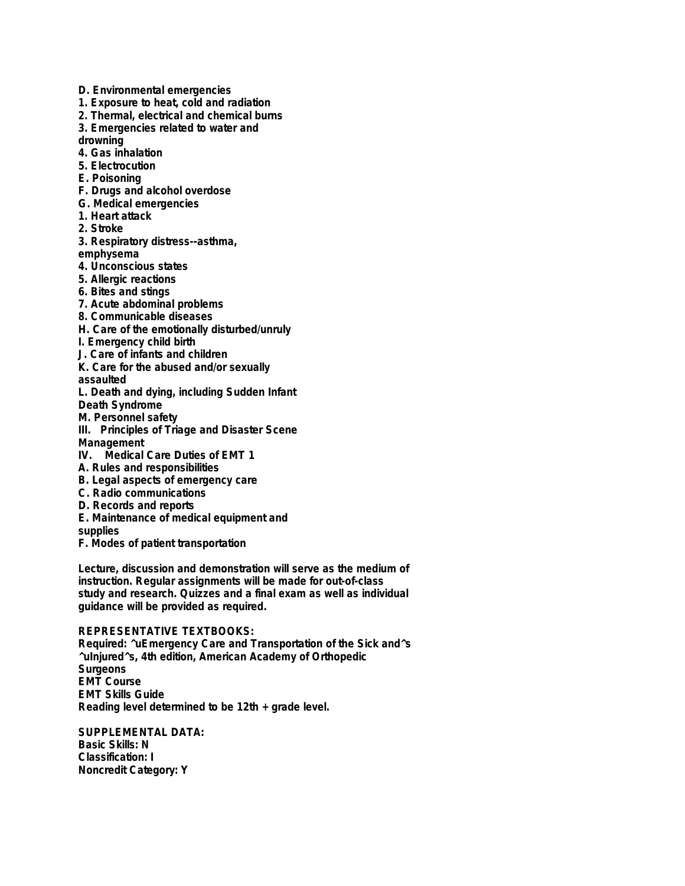- **D. Environmental emergencies**
- **1. Exposure to heat, cold and radiation**
- **2. Thermal, electrical and chemical burns**
- **3. Emergencies related to water and**

**drowning**

- **4. Gas inhalation**
- **5. Electrocution**
- **E. Poisoning**
- **F. Drugs and alcohol overdose**
- **G. Medical emergencies**
- **1. Heart attack**
- **2. Stroke**
- **3. Respiratory distress--asthma,**
- **emphysema**
- **4. Unconscious states**
- **5. Allergic reactions**
- **6. Bites and stings**
- **7. Acute abdominal problems**
- **8. Communicable diseases**
- **H. Care of the emotionally disturbed/unruly**
- **I. Emergency child birth**
- **J. Care of infants and children**
- **K. Care for the abused and/or sexually**
- **assaulted**
- **L. Death and dying, including Sudden Infant**
- **Death Syndrome**
- **M. Personnel safety**
- **III. Principles of Triage and Disaster Scene Management**
- **IV. Medical Care Duties of EMT 1**
- **A. Rules and responsibilities**
- **B. Legal aspects of emergency care**
- **C. Radio communications**
- **D. Records and reports**
- **E. Maintenance of medical equipment and**
- **supplies**
- **F. Modes of patient transportation**

**Lecture, discussion and demonstration will serve as the medium of instruction. Regular assignments will be made for out-of-class study and research. Quizzes and a final exam as well as individual guidance will be provided as required.**

## **REPRESENTATIVE TEXTBOOKS:**

**Required: ^uEmergency Care and Transportation of the Sick and^s ^uInjured^s, 4th edition, American Academy of Orthopedic Surgeons EMT Course EMT Skills Guide Reading level determined to be 12th + grade level.**

**SUPPLEMENTAL DATA: Basic Skills: N Classification: I Noncredit Category: Y**